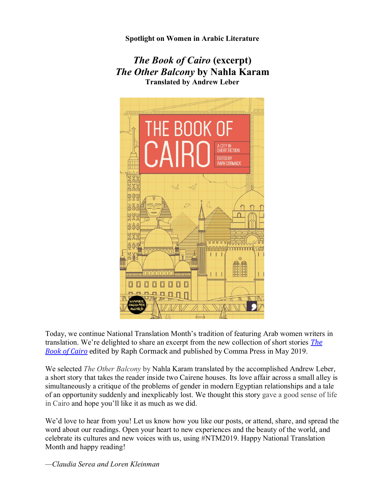**Spotlight on Women in Arabic Literature**

## *The Book of Cairo* **(excerpt)** *The Other Balcony* **by Nahla Karam Translated by Andrew Leber**



Today, we continue National Translation Month's tradition of featuring Arab women writers in translation. We're delighted to share an excerpt from the new collection of short stories *[The](https://commapress.co.uk/books/the-book-of-cairo)  [Book of Cairo](https://commapress.co.uk/books/the-book-of-cairo)* edited by Raph Cormack and published by Comma Press in May 2019.

We selected *The Other Balcony* by Nahla Karam translated by the accomplished Andrew Leber, a short story that takes the reader inside two Cairene houses. Its love affair across a small alley is simultaneously a critique of the problems of gender in modern Egyptian relationships and a tale of an opportunity suddenly and inexplicably lost. We thought this story gave a good sense of life in Cairo and hope you'll like it as much as we did.

We'd love to hear from you! Let us know how you like our posts, or attend, share, and spread the word about our readings. Open your heart to new experiences and the beauty of the world, and celebrate its cultures and new voices with us, using #NTM2019. Happy National Translation Month and happy reading!

*—Claudia Serea and Loren Kleinman*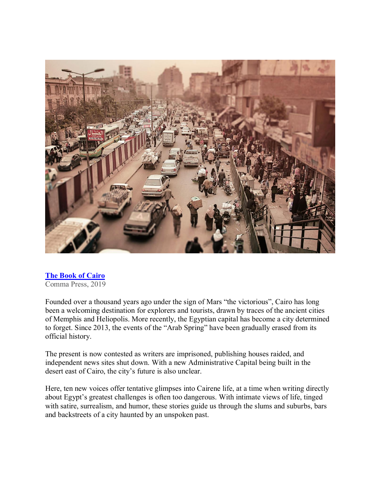

**[The Book of Cairo](https://commapress.co.uk/books/the-book-of-cairo)** Comma Press, 2019

Founded over a thousand years ago under the sign of Mars "the victorious", Cairo has long been a welcoming destination for explorers and tourists, drawn by traces of the ancient cities of Memphis and Heliopolis. More recently, the Egyptian capital has become a city determined to forget. Since 2013, the events of the "Arab Spring" have been gradually erased from its official history.

The present is now contested as writers are imprisoned, publishing houses raided, and independent news sites shut down. With a new Administrative Capital being built in the desert east of Cairo, the city's future is also unclear.

Here, ten new voices offer tentative glimpses into Cairene life, at a time when writing directly about Egypt's greatest challenges is often too dangerous. With intimate views of life, tinged with satire, surrealism, and humor, these stories guide us through the slums and suburbs, bars and backstreets of a city haunted by an unspoken past.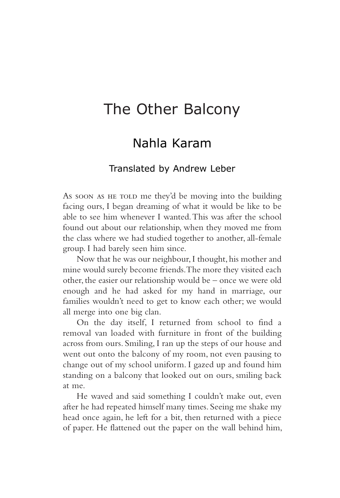# The Other Balcony

## Nahla Karam

### Translated by Andrew Leber

As soon as HE TOLD me they'd be moving into the building facing ours, I began dreaming of what it would be like to be able to see him whenever I wanted. This was after the school found out about our relationship, when they moved me from the class where we had studied together to another, all-female group. I had barely seen him since.

Now that he was our neighbour, I thought, his mother and mine would surely become friends. The more they visited each other, the easier our relationship would be – once we were old enough and he had asked for my hand in marriage, our families wouldn't need to get to know each other; we would all merge into one big clan.

On the day itself, I returned from school to find a removal van loaded with furniture in front of the building across from ours. Smiling, I ran up the steps of our house and went out onto the balcony of my room, not even pausing to change out of my school uniform. I gazed up and found him standing on a balcony that looked out on ours, smiling back at me.

He waved and said something I couldn't make out, even after he had repeated himself many times. Seeing me shake my head once again, he left for a bit, then returned with a piece of paper. He flattened out the paper on the wall behind him,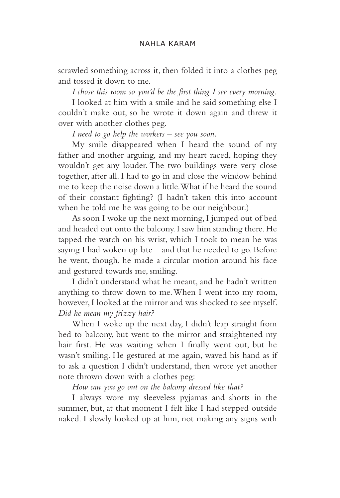scrawled something across it, then folded it into a clothes peg and tossed it down to me.

*I chose this room so you'd be the first thing I see every morning*.

I looked at him with a smile and he said something else I couldn't make out, so he wrote it down again and threw it over with another clothes peg.

*I need to go help the workers – see you soon.*

My smile disappeared when I heard the sound of my father and mother arguing, and my heart raced, hoping they wouldn't get any louder. The two buildings were very close together, after all. I had to go in and close the window behind me to keep the noise down a little. What if he heard the sound of their constant fighting? (I hadn't taken this into account when he told me he was going to be our neighbour.)

As soon I woke up the next morning, I jumped out of bed and headed out onto the balcony. I saw him standing there. He tapped the watch on his wrist, which I took to mean he was saying I had woken up late – and that he needed to go. Before he went, though, he made a circular motion around his face and gestured towards me, smiling.

I didn't understand what he meant, and he hadn't written anything to throw down to me. When I went into my room, however, I looked at the mirror and was shocked to see myself. *Did he mean my frizzy hair?*

When I woke up the next day, I didn't leap straight from bed to balcony, but went to the mirror and straightened my hair first. He was waiting when I finally went out, but he wasn't smiling. He gestured at me again, waved his hand as if to ask a question I didn't understand, then wrote yet another note thrown down with a clothes peg:

*How can you go out on the balcony dressed like that?*

I always wore my sleeveless pyjamas and shorts in the summer, but, at that moment I felt like I had stepped outside naked. I slowly looked up at him, not making any signs with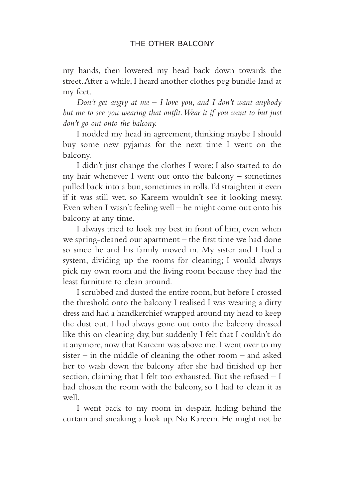my hands, then lowered my head back down towards the street. After a while, I heard another clothes peg bundle land at my feet.

*Don't get angry at me – I love you, and I don't want anybody*  but me to see you wearing that outfit. Wear it if you want to but just *don't go out onto the balcony.*

I nodded my head in agreement, thinking maybe I should buy some new pyjamas for the next time I went on the balcony.

I didn't just change the clothes I wore; I also started to do my hair whenever I went out onto the balcony – sometimes pulled back into a bun, sometimes in rolls. I'd straighten it even if it was still wet, so Kareem wouldn't see it looking messy. Even when I wasn't feeling well – he might come out onto his balcony at any time.

I always tried to look my best in front of him, even when we spring-cleaned our apartment – the first time we had done so since he and his family moved in. My sister and I had a system, dividing up the rooms for cleaning; I would always pick my own room and the living room because they had the least furniture to clean around.

I scrubbed and dusted the entire room, but before I crossed the threshold onto the balcony I realised I was wearing a dirty dress and had a handkerchief wrapped around my head to keep the dust out. I had always gone out onto the balcony dressed like this on cleaning day, but suddenly I felt that I couldn't do it anymore, now that Kareem was above me. I went over to my sister – in the middle of cleaning the other room – and asked her to wash down the balcony after she had finished up her section, claiming that I felt too exhausted. But she refused – I had chosen the room with the balcony, so I had to clean it as well.

I went back to my room in despair, hiding behind the curtain and sneaking a look up. No Kareem. He might not be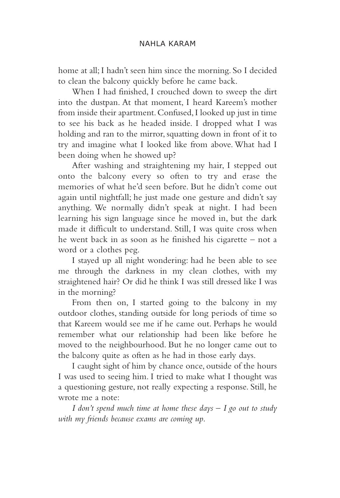#### Nahla Karam

home at all; I hadn't seen him since the morning. So I decided to clean the balcony quickly before he came back.

When I had finished, I crouched down to sweep the dirt into the dustpan. At that moment, I heard Kareem's mother from inside their apartment. Confused, I looked up just in time to see his back as he headed inside. I dropped what I was holding and ran to the mirror, squatting down in front of it to try and imagine what I looked like from above. What had I been doing when he showed up?

After washing and straightening my hair, I stepped out onto the balcony every so often to try and erase the memories of what he'd seen before. But he didn't come out again until nightfall; he just made one gesture and didn't say anything. We normally didn't speak at night. I had been learning his sign language since he moved in, but the dark made it difficult to understand. Still, I was quite cross when he went back in as soon as he finished his cigarette – not a word or a clothes peg.

I stayed up all night wondering: had he been able to see me through the darkness in my clean clothes, with my straightened hair? Or did he think I was still dressed like I was in the morning?

From then on, I started going to the balcony in my outdoor clothes, standing outside for long periods of time so that Kareem would see me if he came out. Perhaps he would remember what our relationship had been like before he moved to the neighbourhood. But he no longer came out to the balcony quite as often as he had in those early days.

I caught sight of him by chance once, outside of the hours I was used to seeing him. I tried to make what I thought was a questioning gesture, not really expecting a response. Still, he wrote me a note:

*I don't spend much time at home these days – I go out to study with my friends because exams are coming up*.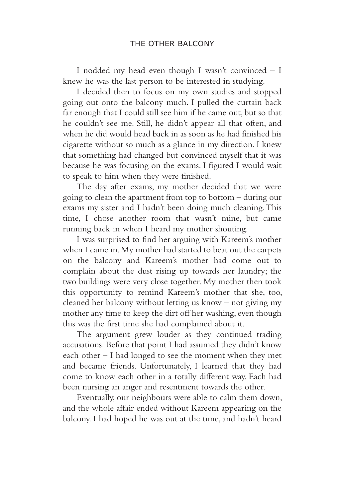I nodded my head even though I wasn't convinced – I knew he was the last person to be interested in studying.

I decided then to focus on my own studies and stopped going out onto the balcony much. I pulled the curtain back far enough that I could still see him if he came out, but so that he couldn't see me. Still, he didn't appear all that often, and when he did would head back in as soon as he had finished his cigarette without so much as a glance in my direction. I knew that something had changed but convinced myself that it was because he was focusing on the exams. I figured I would wait to speak to him when they were finished.

The day after exams, my mother decided that we were going to clean the apartment from top to bottom – during our exams my sister and I hadn't been doing much cleaning. This time, I chose another room that wasn't mine, but came running back in when I heard my mother shouting.

I was surprised to find her arguing with Kareem's mother when I came in. My mother had started to beat out the carpets on the balcony and Kareem's mother had come out to complain about the dust rising up towards her laundry; the two buildings were very close together. My mother then took this opportunity to remind Kareem's mother that she, too, cleaned her balcony without letting us know – not giving my mother any time to keep the dirt off her washing, even though this was the first time she had complained about it.

The argument grew louder as they continued trading accusations. Before that point I had assumed they didn't know each other – I had longed to see the moment when they met and became friends. Unfortunately, I learned that they had come to know each other in a totally different way. Each had been nursing an anger and resentment towards the other.

Eventually, our neighbours were able to calm them down, and the whole affair ended without Kareem appearing on the balcony. I had hoped he was out at the time, and hadn't heard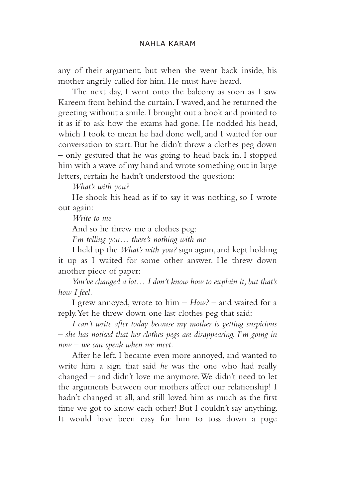#### Nahla Karam

any of their argument, but when she went back inside, his mother angrily called for him. He must have heard.

The next day, I went onto the balcony as soon as I saw Kareem from behind the curtain. I waved, and he returned the greeting without a smile. I brought out a book and pointed to it as if to ask how the exams had gone. He nodded his head, which I took to mean he had done well, and I waited for our conversation to start. But he didn't throw a clothes peg down – only gestured that he was going to head back in. I stopped him with a wave of my hand and wrote something out in large letters, certain he hadn't understood the question:

*What's with you?*

He shook his head as if to say it was nothing, so I wrote out again:

*Write to me*

And so he threw me a clothes peg:

*I'm telling you… there's nothing with me*

I held up the *What's with you?* sign again, and kept holding it up as I waited for some other answer. He threw down another piece of paper:

*You've changed a lot… I don't know how to explain it, but that's how I feel.*

I grew annoyed, wrote to him – *How?* – and waited for a reply. Yet he threw down one last clothes peg that said:

*I can't write after today because my mother is getting suspicious – she has noticed that her clothes pegs are disappearing. I'm going in now – we can speak when we meet.*

After he left, I became even more annoyed, and wanted to write him a sign that said *he* was the one who had really changed – and didn't love me anymore. We didn't need to let the arguments between our mothers affect our relationship! I hadn't changed at all, and still loved him as much as the first time we got to know each other! But I couldn't say anything. It would have been easy for him to toss down a page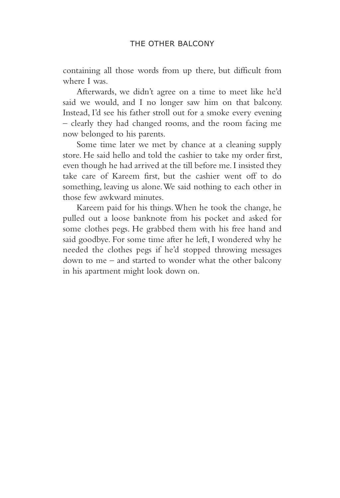containing all those words from up there, but difficult from where I was.

Afterwards, we didn't agree on a time to meet like he'd said we would, and I no longer saw him on that balcony. Instead, I'd see his father stroll out for a smoke every evening – clearly they had changed rooms, and the room facing me now belonged to his parents.

Some time later we met by chance at a cleaning supply store. He said hello and told the cashier to take my order first, even though he had arrived at the till before me. I insisted they take care of Kareem first, but the cashier went off to do something, leaving us alone. We said nothing to each other in those few awkward minutes.

Kareem paid for his things. When he took the change, he pulled out a loose banknote from his pocket and asked for some clothes pegs. He grabbed them with his free hand and said goodbye. For some time after he left, I wondered why he needed the clothes pegs if he'd stopped throwing messages down to me – and started to wonder what the other balcony in his apartment might look down on.